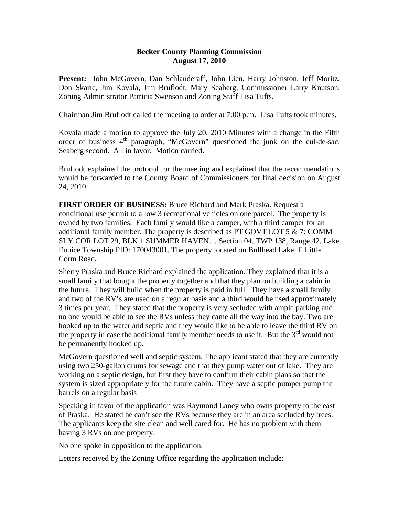## **Becker County Planning Commission August 17, 2010**

**Present:** John McGovern, Dan Schlauderaff, John Lien, Harry Johnston, Jeff Moritz, Don Skarie, Jim Kovala, Jim Bruflodt, Mary Seaberg, Commissioner Larry Knutson, Zoning Administrator Patricia Swenson and Zoning Staff Lisa Tufts.

Chairman Jim Bruflodt called the meeting to order at 7:00 p.m. Lisa Tufts took minutes.

Kovala made a motion to approve the July 20, 2010 Minutes with a change in the Fifth order of business  $4<sup>th</sup>$  paragraph, "McGovern" questioned the junk on the cul-de-sac. Seaberg second. All in favor. Motion carried.

Bruflodt explained the protocol for the meeting and explained that the recommendations would be forwarded to the County Board of Commissioners for final decision on August 24, 2010.

**FIRST ORDER OF BUSINESS:** Bruce Richard and Mark Praska. Request a conditional use permit to allow 3 recreational vehicles on one parcel. The property is owned by two families. Each family would like a camper, with a third camper for an additional family member. The property is described as PT GOVT LOT 5  $\&$  7: COMM SLY COR LOT 29, BLK 1 SUMMER HAVEN… Section 04, TWP 138, Range 42, Lake Eunice Township PID: 170043001. The property located on Bullhead Lake, E Little Corm Road**.** 

Sherry Praska and Bruce Richard explained the application. They explained that it is a small family that bought the property together and that they plan on building a cabin in the future. They will build when the property is paid in full. They have a small family and two of the RV's are used on a regular basis and a third would be used approximately 3 times per year. They stated that the property is very secluded with ample parking and no one would be able to see the RVs unless they came all the way into the bay. Two are hooked up to the water and septic and they would like to be able to leave the third RV on the property in case the additional family member needs to use it. But the  $3<sup>rd</sup>$  would not be permanently hooked up.

McGovern questioned well and septic system. The applicant stated that they are currently using two 250-gallon drums for sewage and that they pump water out of lake. They are working on a septic design, but first they have to confirm their cabin plans so that the system is sized appropriately for the future cabin. They have a septic pumper pump the barrels on a regular basis

Speaking in favor of the application was Raymond Laney who owns property to the east of Praska. He stated he can't see the RVs because they are in an area secluded by trees. The applicants keep the site clean and well cared for. He has no problem with them having 3 RVs on one property.

No one spoke in opposition to the application.

Letters received by the Zoning Office regarding the application include: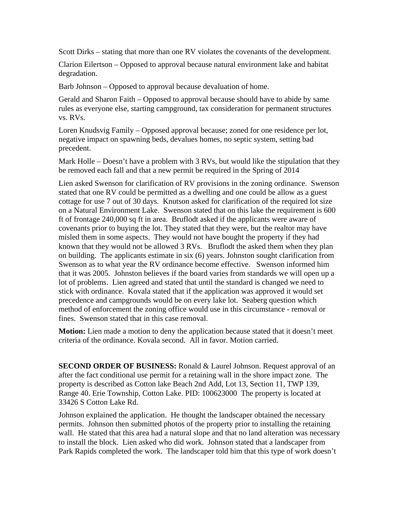Scott Dirks – stating that more than one RV violates the covenants of the development.

Clarion Eilertson – Opposed to approval because natural environment lake and habitat degradation.

Barb Johnson – Opposed to approval because devaluation of home.

Gerald and Sharon Faith – Opposed to approval because should have to abide by same rules as everyone else, starting campground, tax consideration for permanent structures vs. RVs.

Loren Knudsvig Family – Opposed approval because; zoned for one residence per lot, negative impact on spawning beds, devalues homes, no septic system, setting bad precedent.

Mark Holle – Doesn't have a problem with 3 RVs, but would like the stipulation that they be removed each fall and that a new permit be required in the Spring of 2014

Lien asked Swenson for clarification of RV provisions in the zoning ordinance. Swenson stated that one RV could be permitted as a dwelling and one could be allow as a guest cottage for use 7 out of 30 days. Knutson asked for clarification of the required lot size on a Natural Environment Lake. Swenson stated that on this lake the requirement is 600 ft of frontage 240,000 sq ft in area. Bruflodt asked if the applicants were aware of covenants prior to buying the lot. They stated that they were, but the realtor may have misled them in some aspects. They would not have bought the property if they had known that they would not be allowed 3 RVs. Bruflodt the asked them when they plan on building. The applicants estimate in six (6) years. Johnston sought clarification from Swenson as to what year the RV ordinance become effective. Swenson informed him that it was 2005. Johnston believes if the board varies from standards we will open up a lot of problems. Lien agreed and stated that until the standard is changed we need to stick with ordinance. Kovala stated that if the application was approved it would set precedence and campgrounds would be on every lake lot. Seaberg question which method of enforcement the zoning office would use in this circumstance - removal or fines. Swenson stated that in this case removal.

**Motion:** Lien made a motion to deny the application because stated that it doesn't meet criteria of the ordinance. Kovala second. All in favor. Motion carried.

**SECOND ORDER OF BUSINESS:** Ronald & Laurel Johnson. Request approval of an after the fact conditional use permit for a retaining wall in the shore impact zone. The property is described as Cotton lake Beach 2nd Add, Lot 13, Section 11, TWP 139, Range 40. Erie Township, Cotton Lake. PID: 100623000 The property is located at 33426 S Cotton Lake Rd.

Johnson explained the application. He thought the landscaper obtained the necessary permits. Johnson then submitted photos of the property prior to installing the retaining wall. He stated that this area had a natural slope and that no land alteration was necessary to install the block. Lien asked who did work. Johnson stated that a landscaper from Park Rapids completed the work. The landscaper told him that this type of work doesn't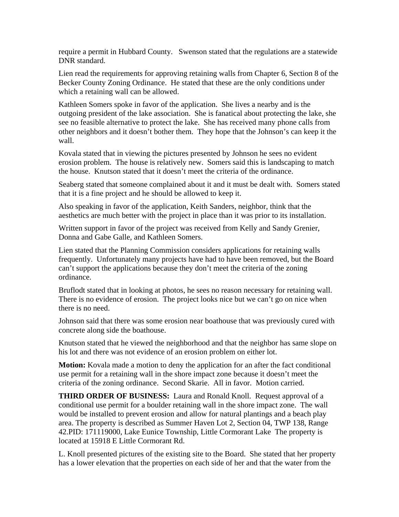require a permit in Hubbard County. Swenson stated that the regulations are a statewide DNR standard.

Lien read the requirements for approving retaining walls from Chapter 6, Section 8 of the Becker County Zoning Ordinance. He stated that these are the only conditions under which a retaining wall can be allowed.

Kathleen Somers spoke in favor of the application. She lives a nearby and is the outgoing president of the lake association. She is fanatical about protecting the lake, she see no feasible alternative to protect the lake. She has received many phone calls from other neighbors and it doesn't bother them. They hope that the Johnson's can keep it the wall.

Kovala stated that in viewing the pictures presented by Johnson he sees no evident erosion problem. The house is relatively new. Somers said this is landscaping to match the house. Knutson stated that it doesn't meet the criteria of the ordinance.

Seaberg stated that someone complained about it and it must be dealt with. Somers stated that it is a fine project and he should be allowed to keep it.

Also speaking in favor of the application, Keith Sanders, neighbor, think that the aesthetics are much better with the project in place than it was prior to its installation.

Written support in favor of the project was received from Kelly and Sandy Grenier, Donna and Gabe Galle, and Kathleen Somers.

Lien stated that the Planning Commission considers applications for retaining walls frequently. Unfortunately many projects have had to have been removed, but the Board can't support the applications because they don't meet the criteria of the zoning ordinance.

Bruflodt stated that in looking at photos, he sees no reason necessary for retaining wall. There is no evidence of erosion. The project looks nice but we can't go on nice when there is no need.

Johnson said that there was some erosion near boathouse that was previously cured with concrete along side the boathouse.

Knutson stated that he viewed the neighborhood and that the neighbor has same slope on his lot and there was not evidence of an erosion problem on either lot.

**Motion:** Kovala made a motion to deny the application for an after the fact conditional use permit for a retaining wall in the shore impact zone because it doesn't meet the criteria of the zoning ordinance. Second Skarie. All in favor. Motion carried.

**THIRD ORDER OF BUSINESS:** Laura and Ronald Knoll. Request approval of a conditional use permit for a boulder retaining wall in the shore impact zone. The wall would be installed to prevent erosion and allow for natural plantings and a beach play area. The property is described as Summer Haven Lot 2, Section 04, TWP 138, Range 42.PID: 171119000, Lake Eunice Township, Little Cormorant Lake The property is located at 15918 E Little Cormorant Rd.

L. Knoll presented pictures of the existing site to the Board. She stated that her property has a lower elevation that the properties on each side of her and that the water from the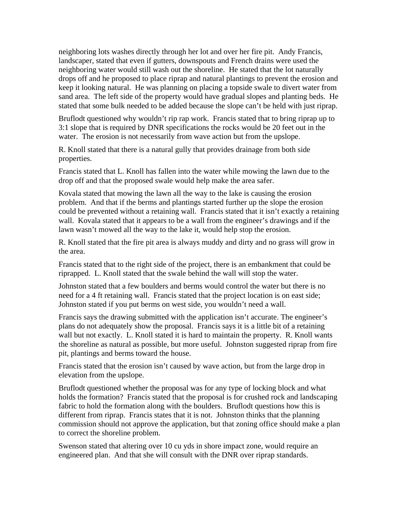neighboring lots washes directly through her lot and over her fire pit. Andy Francis, landscaper, stated that even if gutters, downspouts and French drains were used the neighboring water would still wash out the shoreline. He stated that the lot naturally drops off and he proposed to place riprap and natural plantings to prevent the erosion and keep it looking natural. He was planning on placing a topside swale to divert water from sand area. The left side of the property would have gradual slopes and planting beds. He stated that some bulk needed to be added because the slope can't be held with just riprap.

Bruflodt questioned why wouldn't rip rap work. Francis stated that to bring riprap up to 3:1 slope that is required by DNR specifications the rocks would be 20 feet out in the water. The erosion is not necessarily from wave action but from the upslope.

R. Knoll stated that there is a natural gully that provides drainage from both side properties.

Francis stated that L. Knoll has fallen into the water while mowing the lawn due to the drop off and that the proposed swale would help make the area safer.

Kovala stated that mowing the lawn all the way to the lake is causing the erosion problem. And that if the berms and plantings started further up the slope the erosion could be prevented without a retaining wall. Francis stated that it isn't exactly a retaining wall. Kovala stated that it appears to be a wall from the engineer's drawings and if the lawn wasn't mowed all the way to the lake it, would help stop the erosion.

R. Knoll stated that the fire pit area is always muddy and dirty and no grass will grow in the area.

Francis stated that to the right side of the project, there is an embankment that could be riprapped. L. Knoll stated that the swale behind the wall will stop the water.

Johnston stated that a few boulders and berms would control the water but there is no need for a 4 ft retaining wall. Francis stated that the project location is on east side; Johnston stated if you put berms on west side, you wouldn't need a wall.

Francis says the drawing submitted with the application isn't accurate. The engineer's plans do not adequately show the proposal. Francis says it is a little bit of a retaining wall but not exactly. L. Knoll stated it is hard to maintain the property. R. Knoll wants the shoreline as natural as possible, but more useful. Johnston suggested riprap from fire pit, plantings and berms toward the house.

Francis stated that the erosion isn't caused by wave action, but from the large drop in elevation from the upslope.

Bruflodt questioned whether the proposal was for any type of locking block and what holds the formation? Francis stated that the proposal is for crushed rock and landscaping fabric to hold the formation along with the boulders. Bruflodt questions how this is different from riprap. Francis states that it is not. Johnston thinks that the planning commission should not approve the application, but that zoning office should make a plan to correct the shoreline problem.

Swenson stated that altering over 10 cu yds in shore impact zone, would require an engineered plan. And that she will consult with the DNR over riprap standards.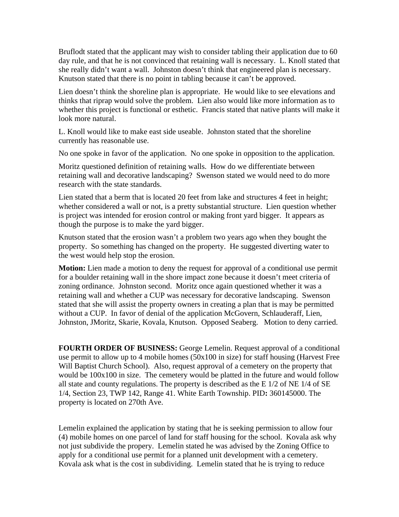Bruflodt stated that the applicant may wish to consider tabling their application due to 60 day rule, and that he is not convinced that retaining wall is necessary. L. Knoll stated that she really didn't want a wall. Johnston doesn't think that engineered plan is necessary. Knutson stated that there is no point in tabling because it can't be approved.

Lien doesn't think the shoreline plan is appropriate. He would like to see elevations and thinks that riprap would solve the problem. Lien also would like more information as to whether this project is functional or esthetic. Francis stated that native plants will make it look more natural.

L. Knoll would like to make east side useable. Johnston stated that the shoreline currently has reasonable use.

No one spoke in favor of the application. No one spoke in opposition to the application.

Moritz questioned definition of retaining walls. How do we differentiate between retaining wall and decorative landscaping? Swenson stated we would need to do more research with the state standards.

Lien stated that a berm that is located 20 feet from lake and structures 4 feet in height; whether considered a wall or not, is a pretty substantial structure. Lien question whether is project was intended for erosion control or making front yard bigger. It appears as though the purpose is to make the yard bigger.

Knutson stated that the erosion wasn't a problem two years ago when they bought the property. So something has changed on the property. He suggested diverting water to the west would help stop the erosion.

**Motion:** Lien made a motion to deny the request for approval of a conditional use permit for a boulder retaining wall in the shore impact zone because it doesn't meet criteria of zoning ordinance. Johnston second. Moritz once again questioned whether it was a retaining wall and whether a CUP was necessary for decorative landscaping. Swenson stated that she will assist the property owners in creating a plan that is may be permitted without a CUP. In favor of denial of the application McGovern, Schlauderaff, Lien, Johnston, JMoritz, Skarie, Kovala, Knutson. Opposed Seaberg. Motion to deny carried.

**FOURTH ORDER OF BUSINESS:** George Lemelin. Request approval of a conditional use permit to allow up to 4 mobile homes (50x100 in size) for staff housing (Harvest Free Will Baptist Church School). Also, request approval of a cemetery on the property that would be 100x100 in size. The cemetery would be platted in the future and would follow all state and county regulations. The property is described as the E 1/2 of NE 1/4 of SE 1/4, Section 23, TWP 142, Range 41. White Earth Township. PID**:** 360145000. The property is located on 270th Ave.

Lemelin explained the application by stating that he is seeking permission to allow four (4) mobile homes on one parcel of land for staff housing for the school. Kovala ask why not just subdivide the propery. Lemelin stated he was advised by the Zoning Office to apply for a conditional use permit for a planned unit development with a cemetery. Kovala ask what is the cost in subdividing. Lemelin stated that he is trying to reduce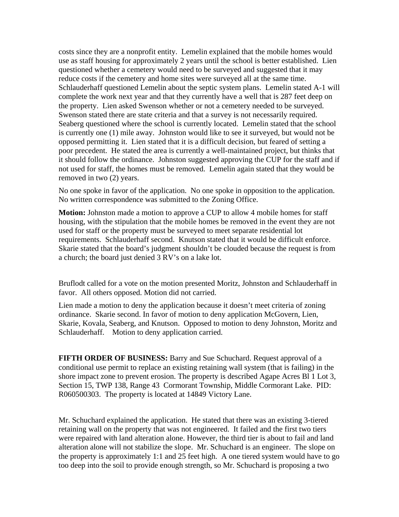costs since they are a nonprofit entity. Lemelin explained that the mobile homes would use as staff housing for approximately 2 years until the school is better established. Lien questioned whether a cemetery would need to be surveyed and suggested that it may reduce costs if the cemetery and home sites were surveyed all at the same time. Schlauderhaff questioned Lemelin about the septic system plans. Lemelin stated A-1 will complete the work next year and that they currently have a well that is 287 feet deep on the property. Lien asked Swenson whether or not a cemetery needed to be surveyed. Swenson stated there are state criteria and that a survey is not necessarily required. Seaberg questioned where the school is currently located. Lemelin stated that the school is currently one (1) mile away. Johnston would like to see it surveyed, but would not be opposed permitting it. Lien stated that it is a difficult decision, but feared of setting a poor precedent. He stated the area is currently a well-maintained project, but thinks that it should follow the ordinance. Johnston suggested approving the CUP for the staff and if not used for staff, the homes must be removed. Lemelin again stated that they would be removed in two (2) years.

No one spoke in favor of the application. No one spoke in opposition to the application. No written correspondence was submitted to the Zoning Office.

**Motion:** Johnston made a motion to approve a CUP to allow 4 mobile homes for staff housing, with the stipulation that the mobile homes be removed in the event they are not used for staff or the property must be surveyed to meet separate residential lot requirements. Schlauderhaff second. Knutson stated that it would be difficult enforce. Skarie stated that the board's judgment shouldn't be clouded because the request is from a church; the board just denied 3 RV's on a lake lot.

Bruflodt called for a vote on the motion presented Moritz, Johnston and Schlauderhaff in favor. All others opposed. Motion did not carried.

Lien made a motion to deny the application because it doesn't meet criteria of zoning ordinance. Skarie second. In favor of motion to deny application McGovern, Lien, Skarie, Kovala, Seaberg, and Knutson. Opposed to motion to deny Johnston, Moritz and Schlauderhaff. Motion to deny application carried.

**FIFTH ORDER OF BUSINESS:** Barry and Sue Schuchard. Request approval of a conditional use permit to replace an existing retaining wall system (that is failing) in the shore impact zone to prevent erosion. The property is described Agape Acres Bl 1 Lot 3, Section 15, TWP 138, Range 43 Cormorant Township, Middle Cormorant Lake. PID: R060500303.The property is located at 14849 Victory Lane.

Mr. Schuchard explained the application. He stated that there was an existing 3-tiered retaining wall on the property that was not engineered. It failed and the first two tiers were repaired with land alteration alone. However, the third tier is about to fail and land alteration alone will not stabilize the slope. Mr. Schuchard is an engineer. The slope on the property is approximately 1:1 and 25 feet high. A one tiered system would have to go too deep into the soil to provide enough strength, so Mr. Schuchard is proposing a two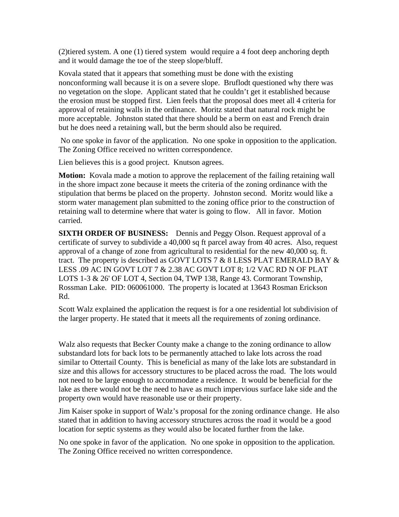(2)tiered system. A one (1) tiered system would require a 4 foot deep anchoring depth and it would damage the toe of the steep slope/bluff.

Kovala stated that it appears that something must be done with the existing nonconforming wall because it is on a severe slope. Bruflodt questioned why there was no vegetation on the slope. Applicant stated that he couldn't get it established because the erosion must be stopped first. Lien feels that the proposal does meet all 4 criteria for approval of retaining walls in the ordinance. Moritz stated that natural rock might be more acceptable. Johnston stated that there should be a berm on east and French drain but he does need a retaining wall, but the berm should also be required.

 No one spoke in favor of the application. No one spoke in opposition to the application. The Zoning Office received no written correspondence.

Lien believes this is a good project. Knutson agrees.

**Motion:** Kovala made a motion to approve the replacement of the failing retaining wall in the shore impact zone because it meets the criteria of the zoning ordinance with the stipulation that berms be placed on the property. Johnston second. Moritz would like a storm water management plan submitted to the zoning office prior to the construction of retaining wall to determine where that water is going to flow. All in favor. Motion carried.

**SIXTH ORDER OF BUSINESS:** Dennis and Peggy Olson. Request approval of a certificate of survey to subdivide a 40,000 sq ft parcel away from 40 acres. Also, request approval of a change of zone from agricultural to residential for the new 40,000 sq. ft. tract. The property is described as GOVT LOTS 7  $&$  8 LESS PLAT EMERALD BAY  $&$ LESS .09 AC IN GOVT LOT 7 & 2.38 AC GOVT LOT 8; 1/2 VAC RD N OF PLAT LOTS 1-3 & 26' OF LOT 4, Section 04, TWP 138, Range 43. Cormorant Township, Rossman Lake. PID: 060061000. The property is located at 13643 Rosman Erickson Rd.

Scott Walz explained the application the request is for a one residential lot subdivision of the larger property. He stated that it meets all the requirements of zoning ordinance.

Walz also requests that Becker County make a change to the zoning ordinance to allow substandard lots for back lots to be permanently attached to lake lots across the road similar to Ottertail County. This is beneficial as many of the lake lots are substandard in size and this allows for accessory structures to be placed across the road. The lots would not need to be large enough to accommodate a residence. It would be beneficial for the lake as there would not be the need to have as much impervious surface lake side and the property own would have reasonable use or their property.

Jim Kaiser spoke in support of Walz's proposal for the zoning ordinance change. He also stated that in addition to having accessory structures across the road it would be a good location for septic systems as they would also be located further from the lake.

No one spoke in favor of the application. No one spoke in opposition to the application. The Zoning Office received no written correspondence.